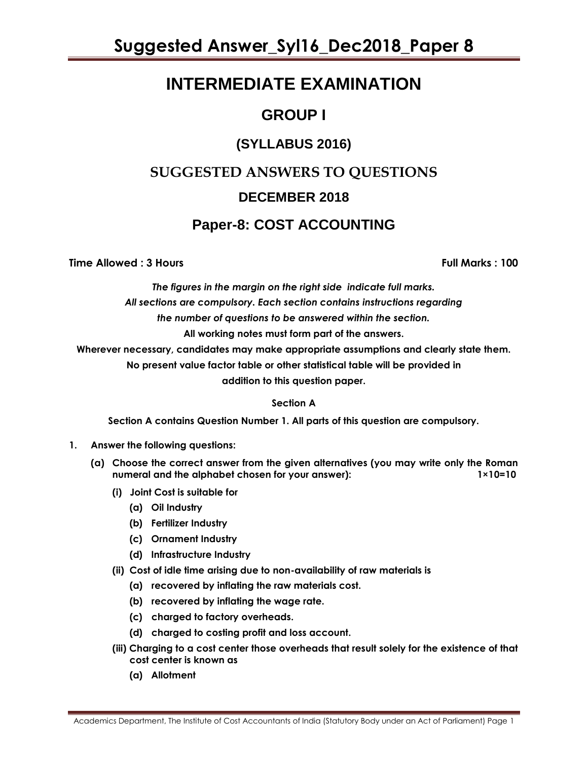# **INTERMEDIATE EXAMINATION**

# **GROUP I**

# **(SYLLABUS 2016)**

# **SUGGESTED ANSWERS TO QUESTIONS DECEMBER 2018**

# **Paper-8: COST ACCOUNTING**

# **Time Allowed : 3 Hours Full Marks : 100**

*The figures in the margin on the right side indicate full marks. All sections are compulsory. Each section contains instructions regarding the number of questions to be answered within the section.* **All working notes must form part of the answers.**

**Wherever necessary, candidates may make appropriate assumptions and clearly state them.**

**No present value factor table or other statistical table will be provided in** 

**addition to this question paper.**

# **Section A**

**Section A contains Question Number 1. All parts of this question are compulsory.**

- **1. Answer the following questions:** 
	- **(a) Choose the correct answer from the given alternatives (you may write only the Roman**  numeral and the alphabet chosen for your answer): 1×10=10
		- **(i) Joint Cost is suitable for**
			- **(a) Oil Industry**
			- **(b) Fertilizer Industry**
			- **(c) Ornament Industry**
			- **(d) Infrastructure Industry**
		- **(ii) Cost of idle time arising due to non-availability of raw materials is**
			- **(a) recovered by inflating the raw materials cost.**
			- **(b) recovered by inflating the wage rate.**
			- **(c) charged to factory overheads.**
			- **(d) charged to costing profit and loss account.**
		- **(iii) Charging to a cost center those overheads that result solely for the existence of that cost center is known as**
			- **(a) Allotment**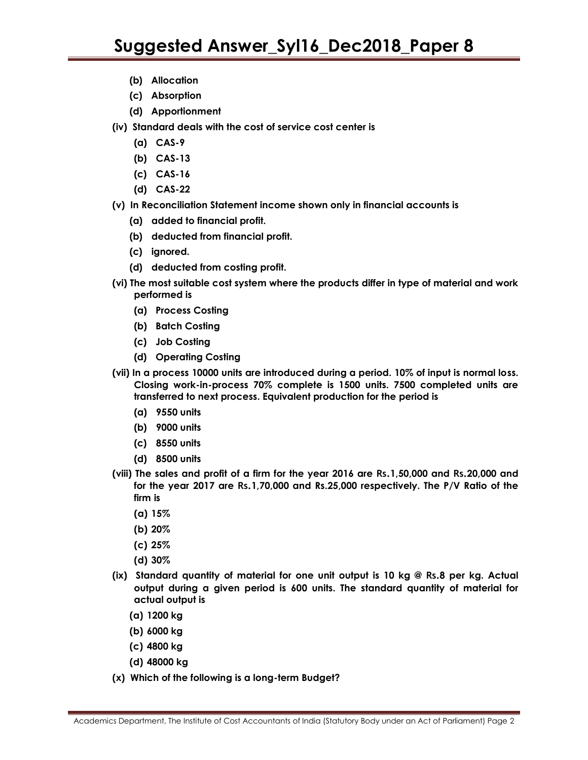- **(b) Allocation**
- **(c) Absorption**
- **(d) Apportionment**
- **(iv) Standard deals with the cost of service cost center is**
	- **(a) CAS-9**
	- **(b) CAS-13**
	- **(c) CAS-16**
	- **(d) CAS-22**
- **(v) In Reconciliation Statement income shown only in financial accounts is**
	- **(a) added to financial profit.**
	- **(b) deducted from financial profit.**
	- **(c) ignored.**
	- **(d) deducted from costing profit.**
- **(vi) The most suitable cost system where the products differ in type of material and work performed is**
	- **(a) Process Costing**
	- **(b) Batch Costing**
	- **(c) Job Costing**
	- **(d) Operating Costing**
- **(vii) In a process 10000 units are introduced during a period. 10% of input is normal loss. Closing work-in-process 70% complete is 1500 units. 7500 completed units are transferred to next process. Equivalent production for the period is**
	- **(a) 9550 units**
	- **(b) 9000 units**
	- **(c) 8550 units**
	- **(d) 8500 units**
- **(viii) The sales and profit of a firm for the year 2016 are Rs.1,50,000 and Rs.20,000 and for the year 2017 are Rs.1,70,000 and Rs.25,000 respectively. The P/V Ratio of the firm is**
	- **(a) 15%**
	- **(b) 20%**
	- **(c) 25%**
	- **(d) 30%**
- **(ix) Standard quantity of material for one unit output is 10 kg @ Rs.8 per kg. Actual output during a given period is 600 units. The standard quantity of material for actual output is**
	- **(a) 1200 kg**
	- **(b) 6000 kg**
	- **(c) 4800 kg**
	- **(d) 48000 kg**
- **(x) Which of the following is a long-term Budget?**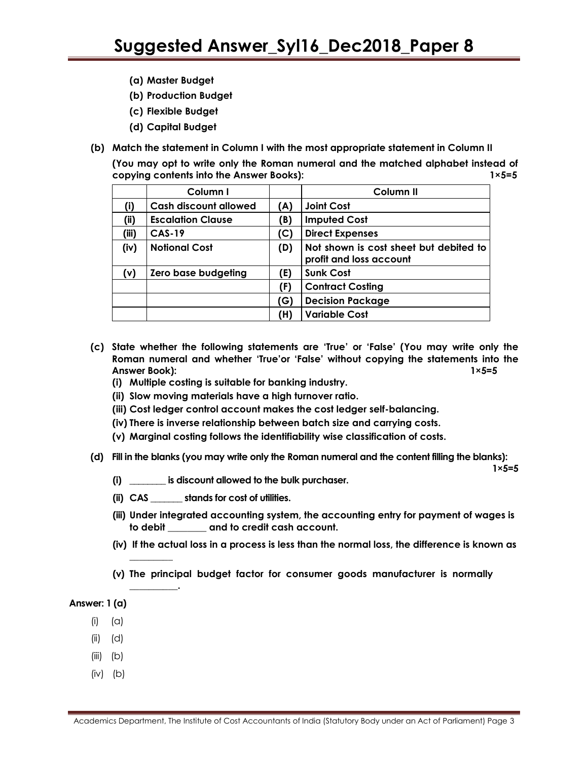- **(a) Master Budget**
- **(b) Production Budget**
- **(c) Flexible Budget**
- **(d) Capital Budget**
- **(b) Match the statement in Column I with the most appropriate statement in Column II**

**(You may opt to write only the Roman numeral and the matched alphabet instead of copying contents into the Answer Books): 1×5=5**

|       | Column I                     |     | Column <sub>II</sub>                                              |
|-------|------------------------------|-----|-------------------------------------------------------------------|
| (i)   | <b>Cash discount allowed</b> | (A) | <b>Joint Cost</b>                                                 |
| (ii)  | <b>Escalation Clause</b>     | (B) | <b>Imputed Cost</b>                                               |
| (iii) | <b>CAS-19</b>                | (C) | <b>Direct Expenses</b>                                            |
| (iv)  | <b>Notional Cost</b>         | (D) | Not shown is cost sheet but debited to<br>profit and loss account |
| (v)   | Zero base budgeting          | (E) | <b>Sunk Cost</b>                                                  |
|       |                              | (F) | <b>Contract Costing</b>                                           |
|       |                              | (G) | <b>Decision Package</b>                                           |
|       |                              | (H) | <b>Variable Cost</b>                                              |

- **(c) State whether the following statements are "True" or "False" (You may write only the Roman numeral and whether "True"or "False" without copying the statements into the Answer Book): 1×5=5**
	- **(i) Multiple costing is suitable for banking industry.**
	- **(ii) Slow moving materials have a high turnover ratio.**
	- **(iii) Cost ledger control account makes the cost ledger self-balancing.**
	- **(iv) There is inverse relationship between batch size and carrying costs.**
	- **(v) Marginal costing follows the identifiability wise classification of costs.**
- **(d) Fill in the blanks (you may write only the Roman numeral and the content filling the blanks):**

**1×5=5**

- **(i) \_\_\_\_\_\_\_\_ is discount allowed to the bulk purchaser.**
- **(ii) CAS \_\_\_\_\_\_\_ stands for cost of utilities.**
- **(iii) Under integrated accounting system, the accounting entry for payment of wages is to debit \_\_\_\_\_\_\_\_ and to credit cash account.**
- **(iv) If the actual loss in a process is less than the normal loss, the difference is known as**
- **(v) The principal budget factor for consumer goods manufacturer is normally**

#### **Answer: 1 (a)**

 $(i)$   $(\alpha)$ 

**\_\_\_\_\_\_\_\_\_**

**\_\_\_\_\_\_\_\_\_\_.**

- (ii) (d)
- $(iii)$   $(b)$
- $(iv)$   $(b)$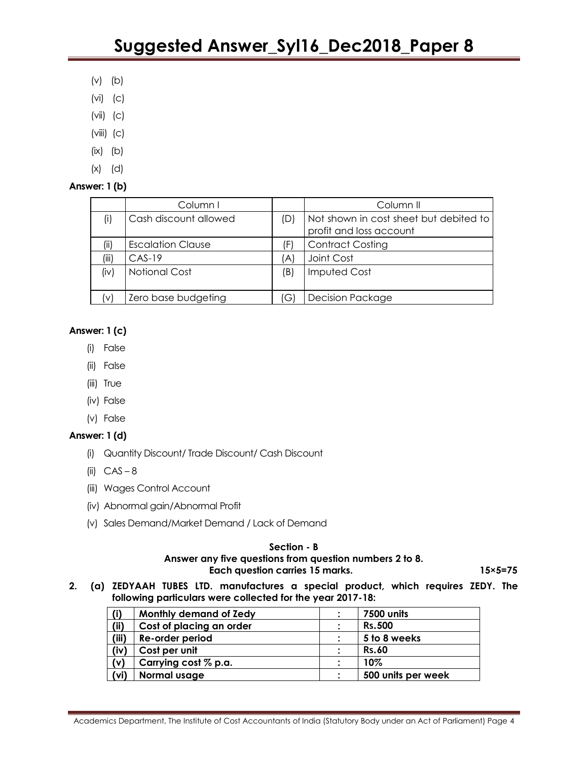- (v) (b)
- (vi) (c)
- (vii) (c)
- $(viii)$   $(c)$
- $(ix)$   $(b)$
- (x) (d)

# **Answer: 1 (b)**

|       | Column I                 |     | Column II                                                         |
|-------|--------------------------|-----|-------------------------------------------------------------------|
| (i)   | Cash discount allowed    | (D) | Not shown in cost sheet but debited to<br>profit and loss account |
| (iii) | <b>Escalation Clause</b> | (F  | <b>Contract Costing</b>                                           |
| (iii) | $CAS-19$                 | 'Al | Joint Cost                                                        |
| (iv)  | <b>Notional Cost</b>     | (B) | <b>Imputed Cost</b>                                               |
|       | Zero base budgeting      | G   | <b>Decision Package</b>                                           |

# **Answer: 1 (c)**

- (i) False
- (ii) False
- (iii) True
- (iv) False
- (v) False

# **Answer: 1 (d)**

- (i) Quantity Discount/ Trade Discount/ Cash Discount
- (ii)  $CAS 8$
- (iii) Wages Control Account
- (iv) Abnormal gain/Abnormal Profit
- (v) Sales Demand/Market Demand / Lack of Demand

### **Section - B**

### **Answer any five questions from question numbers 2 to 8.** Each question carries 15 marks. 15×5=75

**2. (a) ZEDYAAH TUBES LTD. manufactures a special product, which requires ZEDY. The following particulars were collected for the year 2017-18:**

| (i)   | Monthly demand of Zedy   |           | 7500 units         |
|-------|--------------------------|-----------|--------------------|
| (ii)  | Cost of placing an order | $\bullet$ | <b>Rs.500</b>      |
| (iii) | Re-order period          |           | 5 to 8 weeks       |
| (iv)  | Cost per unit            |           | <b>Rs.60</b>       |
| (v)   | Carrying cost % p.a.     |           | 10%                |
| (vi)  | Normal usage             |           | 500 units per week |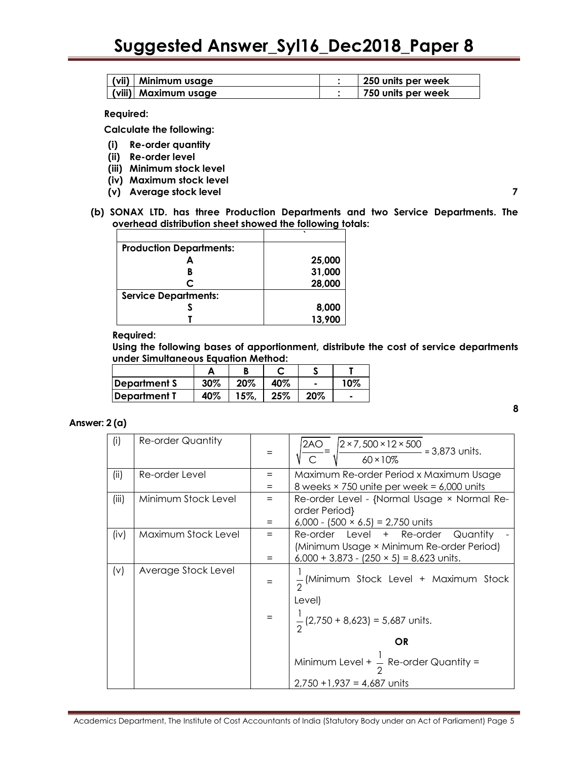| (vii)   Minimum usage | 250 units per week |
|-----------------------|--------------------|
| (viii) Maximum usage  | 750 units per week |

#### **Required:**

 **Calculate the following:** 

- **(i) Re-order quantity**
- **(ii) Re-order level**
- **(iii) Minimum stock level**
- **(iv) Maximum stock level**
- **(v) Average stock level 7**
- **(b) SONAX LTD. has three Production Departments and two Service Departments. The overhead distribution sheet showed the following totals:**

| <b>Production Departments:</b> |        |
|--------------------------------|--------|
|                                | 25,000 |
|                                | 31,000 |
| C                              | 28,000 |
| <b>Service Departments:</b>    |        |
|                                | 8,000  |
|                                | 13,900 |

### **Required:**

**Using the following bases of apportionment, distribute the cost of service departments under Simultaneous Equation Method:**

| Department S | 30% | 20% | 40% |     | 10%                      |
|--------------|-----|-----|-----|-----|--------------------------|
| Department T | 40% | 15% | 25% | 20% | $\overline{\phantom{a}}$ |

### **Answer: 2 (a)**

| (i)   | <b>Re-order Quantity</b> |            | 12AO<br>$\sqrt{\frac{2 \times 7,500 \times 12 \times 500}{60 \times 10\%}}$ = 3,873 units.                                            |
|-------|--------------------------|------------|---------------------------------------------------------------------------------------------------------------------------------------|
| (ii)  | Re-order Level           | $=$<br>$=$ | Maximum Re-order Period x Maximum Usage<br>8 weeks $\times$ 750 unite per week = 6,000 units                                          |
| (iii) | Minimum Stock Level      | $=$<br>=   | Re-order Level - {Normal Usage × Normal Re-<br>order Period}<br>6,000 - $(500 \times 6.5) = 2,750$ units                              |
| (iv)  | Maximum Stock Level      | $=$<br>$=$ | Re-order Level + Re-order<br>Quantity<br>(Minimum Usage × Minimum Re-order Period)<br>$6,000 + 3,873 - (250 \times 5) = 8,623$ units. |
| (v)   | Average Stock Level      | $=$        | $\frac{1}{2}$ (Minimum Stock Level + Maximum Stock<br>Level)<br>$\frac{1}{2}$ (2,750 + 8,623) = 5,687 units.                          |
|       |                          |            | OR<br>Minimum Level + $\frac{1}{6}$ Re-order Quantity =<br>$2,750 + 1,937 = 4,687$ units                                              |

**8**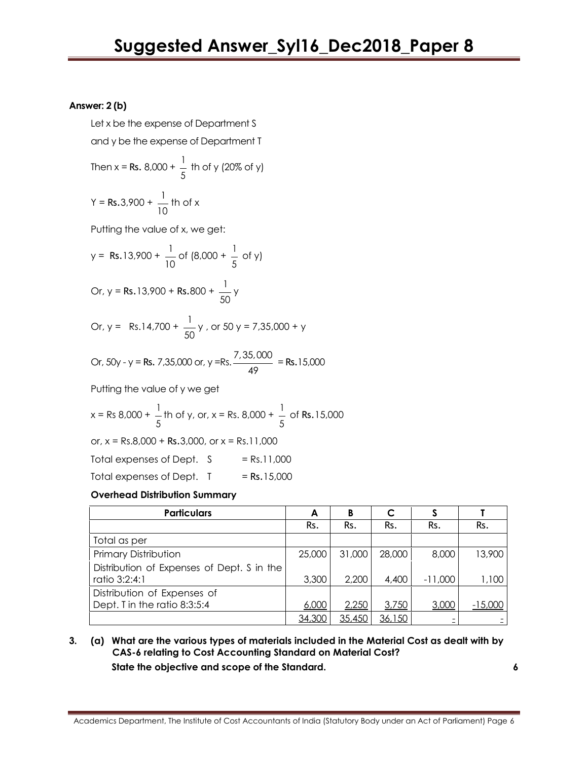# **Answer: 2 (b)**

Let x be the expense of Department S and y be the expense of Department T

Then 
$$
x = \text{Rs. } 8,000 + \frac{1}{5}
$$
 th of y (20% of y)

$$
Y = \text{Rs.}3,900 + \frac{1}{10} \text{ th of x}
$$

Putting the value of x, we get:

y = Rs.13,900 + 
$$
\frac{1}{10}
$$
 of (8,000 +  $\frac{1}{5}$  of y)

Or, 
$$
y = Rs.13,900 + Rs.800 + \frac{1}{50}y
$$

Or, 
$$
y = \text{Rs.14,700} + \frac{1}{50}y
$$
, or 50 y = 7,35,000 + y

Or, 50y - y = Rs. 7,35,000 or, y =Rs. 
$$
\frac{7,35,000}{49}
$$
 = Rs. 15,000

Putting the value of y we get

x = Rs 8,000 + 
$$
\frac{1}{5}
$$
th of y, or, x = Rs. 8,000 +  $\frac{1}{5}$  of Rs. 15,000

or, 
$$
x = Rs.8,000 + Rs.3,000
$$
, or  $x = Rs.11,000$ 

$$
Total expenses of Dept. S = Rs.11,000
$$

Total expenses of Dept.  $I = Rs.15,000$ 

# **Overhead Distribution Summary**

| <b>Particulars</b>                                          | A      | B      | C      |           |           |
|-------------------------------------------------------------|--------|--------|--------|-----------|-----------|
|                                                             | Rs.    | Rs.    | Rs.    | Rs.       | Rs.       |
| Total as per                                                |        |        |        |           |           |
| <b>Primary Distribution</b>                                 | 25,000 | 31,000 | 28,000 | 8,000     | 13,900    |
| Distribution of Expenses of Dept. S in the<br>ratio 3:2:4:1 | 3,300  | 2,200  | 4,400  | $-11,000$ | 1,100     |
| Distribution of Expenses of<br>Dept. T in the ratio 8:3:5:4 | 6,000  | 2,250  | 3,750  | 3,000     | $-15,000$ |
|                                                             | 34,300 | 35,45C | 36,150 |           |           |

# **3. (a) What are the various types of materials included in the Material Cost as dealt with by CAS-6 relating to Cost Accounting Standard on Material Cost?**

 **State the objective and scope of the Standard. 6**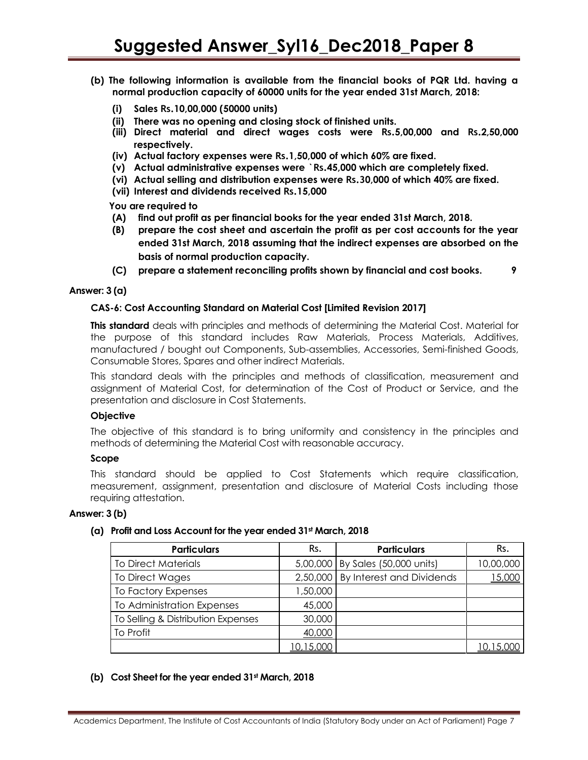- **(b) The following information is available from the financial books of PQR Ltd. having a normal production capacity of 60000 units for the year ended 31st March, 2018:**
	- **(i) Sales Rs.10,00,000 (50000 units)**
	- **(ii) There was no opening and closing stock of finished units.**
	- **(iii) Direct material and direct wages costs were Rs.5,00,000 and Rs.2,50,000 respectively.**
	- **(iv) Actual factory expenses were Rs.1,50,000 of which 60% are fixed.**
	- **(v) Actual administrative expenses were `Rs.45,000 which are completely fixed.**
	- **(vi) Actual selling and distribution expenses were Rs.30,000 of which 40% are fixed.**
	- **(vii) Interest and dividends received Rs.15,000**

 **You are required to**

- **(A) find out profit as per financial books for the year ended 31st March, 2018.**
- **(B) prepare the cost sheet and ascertain the profit as per cost accounts for the year ended 31st March, 2018 assuming that the indirect expenses are absorbed on the basis of normal production capacity.**
- **(C) prepare a statement reconciling profits shown by financial and cost books. 9**

### **Answer: 3 (a)**

### **CAS-6: Cost Accounting Standard on Material Cost [Limited Revision 2017]**

**This standard** deals with principles and methods of determining the Material Cost. Material for the purpose of this standard includes Raw Materials, Process Materials, Additives, manufactured / bought out Components, Sub-assemblies, Accessories, Semi-finished Goods, Consumable Stores, Spares and other indirect Materials.

This standard deals with the principles and methods of classification, measurement and assignment of Material Cost, for determination of the Cost of Product or Service, and the presentation and disclosure in Cost Statements.

### **Objective**

The objective of this standard is to bring uniformity and consistency in the principles and methods of determining the Material Cost with reasonable accuracy.

### **Scope**

This standard should be applied to Cost Statements which require classification, measurement, assignment, presentation and disclosure of Material Costs including those requiring attestation.

# **Answer: 3 (b)**

### **(a) Profit and Loss Account for the year ended 31st March, 2018**

| <b>Particulars</b>                 | Rs.      | <b>Particulars</b>                   | Rs.               |
|------------------------------------|----------|--------------------------------------|-------------------|
| <b>To Direct Materials</b>         |          | 5,00,000 By Sales (50,000 units)     | 10,00,000         |
| To Direct Wages                    |          | 2,50,000   By Interest and Dividends | 15,000            |
| To Factory Expenses                | 1,50,000 |                                      |                   |
| To Administration Expenses         | 45,000   |                                      |                   |
| To Selling & Distribution Expenses | 30,000   |                                      |                   |
| To Profit                          | 40,000   |                                      |                   |
|                                    | 0,15,000 |                                      | <u> 10,15,000</u> |

### **(b) Cost Sheet for the year ended 31st March, 2018**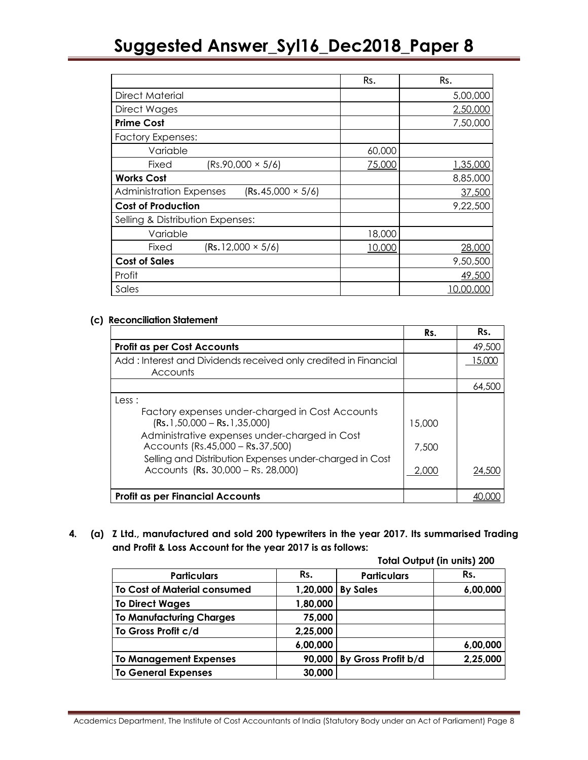|                                                            | Rs.    | Rs.      |
|------------------------------------------------------------|--------|----------|
| Direct Material                                            |        | 5,00,000 |
| Direct Wages                                               |        | 2,50,000 |
| <b>Prime Cost</b>                                          |        | 7,50,000 |
| <b>Factory Expenses:</b>                                   |        |          |
| Variable                                                   | 60,000 |          |
| $(Rs.90,000 \times 5/6)$<br>Fixed                          | 75,000 | 1,35,000 |
| <b>Works Cost</b>                                          |        | 8,85,000 |
| $(Rs.45,000 \times 5/6)$<br><b>Administration Expenses</b> |        | 37,500   |
| <b>Cost of Production</b>                                  |        | 9,22,500 |
| Selling & Distribution Expenses:                           |        |          |
| Variable                                                   | 18,000 |          |
| $(Rs.12,000 \times 5/6)$<br>Fixed                          | 10,000 | 28,000   |
| <b>Cost of Sales</b>                                       |        | 9,50,500 |
| Profit                                                     |        | 49,500   |
| Sales                                                      |        | ,00,000  |

### **(c) Reconciliation Statement**

|                                                                                                                                                                                                                                                                                 | Rs.                      | Rs.    |
|---------------------------------------------------------------------------------------------------------------------------------------------------------------------------------------------------------------------------------------------------------------------------------|--------------------------|--------|
| <b>Profit as per Cost Accounts</b>                                                                                                                                                                                                                                              |                          | 49,500 |
| Add: Interest and Dividends received only credited in Financial<br>Accounts                                                                                                                                                                                                     |                          | 15,000 |
|                                                                                                                                                                                                                                                                                 |                          | 64,500 |
| Less:<br>Factory expenses under-charged in Cost Accounts<br>$(Rs.1,50,000 - Rs.1,35,000)$<br>Administrative expenses under-charged in Cost<br>Accounts (Rs.45,000 - Rs.37,500)<br>Selling and Distribution Expenses under-charged in Cost<br>Accounts (Rs. 30,000 - Rs. 28,000) | 15,000<br>7,500<br>2,000 | 24,500 |
| <b>Profit as per Financial Accounts</b>                                                                                                                                                                                                                                         |                          |        |

**4. (a) Z Ltd., manufactured and sold 200 typewriters in the year 2017. Its summarised Trading and Profit & Loss Account for the year 2017 is as follows:**

|                                     |          |                     | <b>Total Output (in units) 200</b> |
|-------------------------------------|----------|---------------------|------------------------------------|
| <b>Particulars</b>                  | Rs.      | <b>Particulars</b>  | Rs.                                |
| <b>To Cost of Material consumed</b> | 1,20,000 | <b>By Sales</b>     | 6,00,000                           |
| <b>To Direct Wages</b>              | 1,80,000 |                     |                                    |
| <b>To Manufacturing Charges</b>     | 75,000   |                     |                                    |
| To Gross Profit c/d                 | 2,25,000 |                     |                                    |
|                                     | 6,00,000 |                     | 6,00,000                           |
| <b>To Management Expenses</b>       | 90,000   | By Gross Profit b/d | 2,25,000                           |
| <b>To General Expenses</b>          | 30,000   |                     |                                    |

Academics Department, The Institute of Cost Accountants of India (Statutory Body under an Act of Parliament) Page 8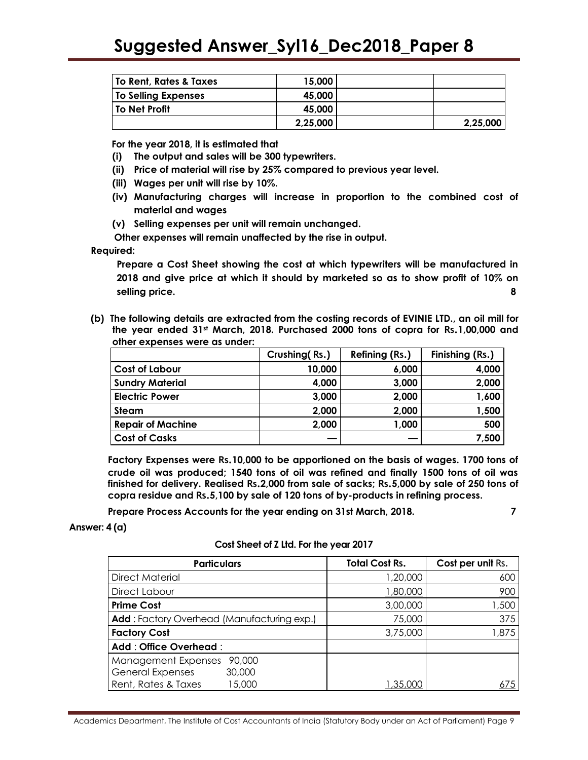| <b>To Rent, Rates &amp; Taxes</b> | 15,000   |          |
|-----------------------------------|----------|----------|
| <b>To Selling Expenses</b>        | 45,000   |          |
| <b>To Net Profit</b>              | 45,000   |          |
|                                   | 2,25,000 | 2,25,000 |

**For the year 2018, it is estimated that**

- **(i) The output and sales will be 300 typewriters.**
- **(ii) Price of material will rise by 25% compared to previous year level.**
- **(iii) Wages per unit will rise by 10%.**
- **(iv) Manufacturing charges will increase in proportion to the combined cost of material and wages**
- **(v) Selling expenses per unit will remain unchanged.**

 **Other expenses will remain unaffected by the rise in output.**

#### **Required:**

**Prepare a Cost Sheet showing the cost at which typewriters will be manufactured in 2018 and give price at which it should by marketed so as to show profit of 10% on selling price. 8**

**(b) The following details are extracted from the costing records of EVINIE LTD., an oil mill for the year ended 31st March, 2018. Purchased 2000 tons of copra for Rs.1,00,000 and other expenses were as under:** 

|                          | Crushing (Rs.) | Refining (Rs.) | Finishing (Rs.) |
|--------------------------|----------------|----------------|-----------------|
| <b>Cost of Labour</b>    | 10,000         | 6,000          | 4,000           |
| <b>Sundry Material</b>   | 4,000          | 3,000          | 2,000           |
| <b>Electric Power</b>    | 3,000          | 2,000          | 1,600           |
| <b>Steam</b>             | 2,000          | 2,000          | 1,500           |
| <b>Repair of Machine</b> | 2,000          | 1,000          | 500             |
| <b>Cost of Casks</b>     |                |                | 7,500           |

**Factory Expenses were Rs.10,000 to be apportioned on the basis of wages. 1700 tons of crude oil was produced; 1540 tons of oil was refined and finally 1500 tons of oil was finished for delivery. Realised Rs.2,000 from sale of sacks; Rs.5,000 by sale of 250 tons of copra residue and Rs.5,100 by sale of 120 tons of by-products in refining process.**

**Prepare Process Accounts for the year ending on 31st March, 2018. 7**

**Answer: 4 (a)**

| <b>Particulars</b>                                | <b>Total Cost Rs.</b> | Cost per unit Rs. |
|---------------------------------------------------|-----------------------|-------------------|
| <b>Direct Material</b>                            | 1,20,000              | 600               |
| Direct Labour                                     | 1,80,000              | 900               |
| <b>Prime Cost</b>                                 | 3,00,000              | 1,500             |
| <b>Add:</b> Factory Overhead (Manufacturing exp.) | 75,000                | 375               |
| <b>Factory Cost</b>                               | 3,75,000              | 1,875             |
| Add: Office Overhead:                             |                       |                   |
| Management Expenses<br>90,000                     |                       |                   |
| <b>General Expenses</b><br>30,000                 |                       |                   |
| Rent, Rates & Taxes<br>15,000                     | 35.000, 1.35          |                   |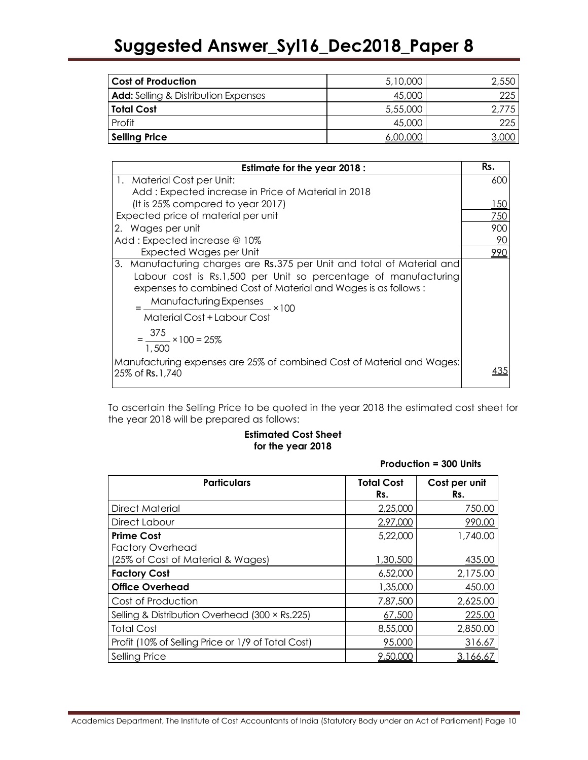| <b>Cost of Production</b>                   | 5,10,000 | 2,550      |
|---------------------------------------------|----------|------------|
| <b>Add:</b> Selling & Distribution Expenses | 45,000   | <u>225</u> |
| <b>Total Cost</b>                           | 5,55,000 | 2.775      |
| Profit                                      | 45,000   | 225        |
| <b>Selling Price</b>                        | 6.00.000 |            |

| <b>Estimate for the year 2018:</b>                                                         | Rs.            |
|--------------------------------------------------------------------------------------------|----------------|
| 1. Material Cost per Unit:                                                                 | 600            |
| Add: Expected increase in Price of Material in 2018                                        |                |
| (It is 25% compared to year 2017)                                                          | 150            |
| Expected price of material per unit                                                        | 750            |
| 2. Wages per unit                                                                          | 900            |
| Add: Expected increase @ 10%                                                               | $\frac{90}{2}$ |
| Expected Wages per Unit                                                                    | 990            |
| 3. Manufacturing charges are Rs.375 per Unit and total of Material and                     |                |
| Labour cost is Rs.1,500 per Unit so percentage of manufacturing                            |                |
| expenses to combined Cost of Material and Wages is as follows:                             |                |
| Manufacturing Expenses<br>x100                                                             |                |
| Material Cost + Labour Cost                                                                |                |
| $=\frac{375}{100} \times 100 = 25\%$                                                       |                |
| 1.500                                                                                      |                |
| Manufacturing expenses are 25% of combined Cost of Material and Wages:<br>25% of Rs. 1,740 |                |
|                                                                                            |                |

To ascertain the Selling Price to be quoted in the year 2018 the estimated cost sheet for the year 2018 will be prepared as follows:

# **Estimated Cost Sheet for the year 2018**

### **Production = 300 Units**

| <b>Particulars</b>                                 | <b>Total Cost</b><br>Rs. | Cost per unit<br>Rs. |
|----------------------------------------------------|--------------------------|----------------------|
| Direct Material                                    | 2,25,000                 | 750.00               |
| Direct Labour                                      | 2,97,000                 | 990.00               |
| <b>Prime Cost</b><br><b>Factory Overhead</b>       | 5,22,000                 | 1,740.00             |
| (25% of Cost of Material & Wages)                  | 1,30,500                 | 435.00               |
| <b>Factory Cost</b>                                | 6,52,000                 | 2,175.00             |
| <b>Office Overhead</b>                             | 1,35,000                 | 450.00               |
| Cost of Production                                 | 7,87,500                 | 2,625.00             |
| Selling & Distribution Overhead (300 × Rs.225)     | 67,500                   | 225.00               |
| <b>Total Cost</b>                                  | 8,55,000                 | 2,850.00             |
| Profit (10% of Selling Price or 1/9 of Total Cost) | 95,000                   | 316.67               |
| Selling Price                                      | 9,50,000                 | 3.166.67             |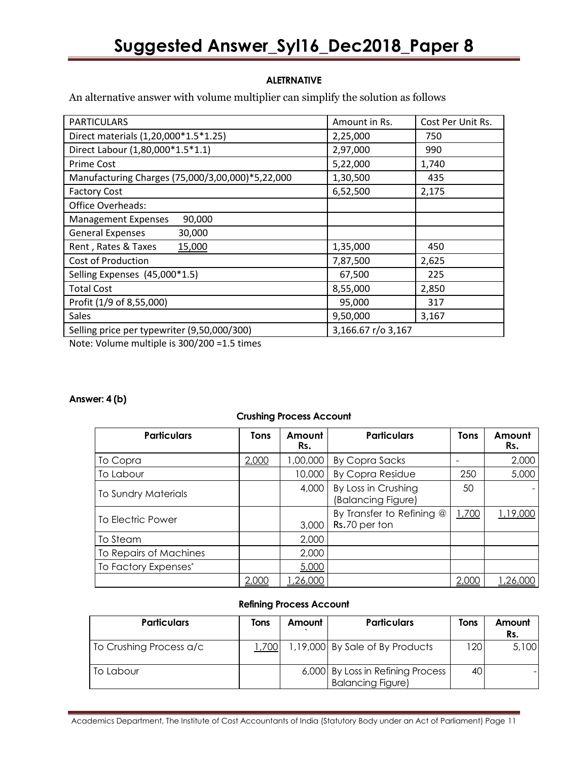# **ALETRNATIVE**

An alternative answer with volume multiplier can simplify the solution as follows

| <b>PARTICULARS</b>                               | Amount in Rs.      | Cost Per Unit Rs. |
|--------------------------------------------------|--------------------|-------------------|
| Direct materials (1,20,000*1.5*1.25)             | 2,25,000           | 750               |
| Direct Labour (1,80,000*1.5*1.1)                 | 2,97,000           | 990               |
| <b>Prime Cost</b>                                | 5,22,000           | 1,740             |
| Manufacturing Charges (75,000/3,00,000)*5,22,000 | 1,30,500           | 435               |
| <b>Factory Cost</b>                              | 6,52,500           | 2,175             |
| Office Overheads:                                |                    |                   |
| 90,000<br><b>Management Expenses</b>             |                    |                   |
| <b>General Expenses</b><br>30,000                |                    |                   |
| Rent, Rates & Taxes<br>15,000                    | 1,35,000           | 450               |
| <b>Cost of Production</b>                        | 7,87,500           | 2,625             |
| Selling Expenses (45,000*1.5)                    | 67,500             | 225               |
| <b>Total Cost</b>                                | 8,55,000           | 2,850             |
| Profit (1/9 of 8,55,000)                         | 95,000             | 317               |
| <b>Sales</b>                                     | 9,50,000           | 3,167             |
| Selling price per typewriter (9,50,000/300)      | 3,166.67 r/o 3,167 |                   |

Note: Volume multiple is 300/200 =1.5 times

### **Answer: 4 (b)**

### **Crushing Process Account**

| <b>Particulars</b>         | Tons  | Amount<br>Rs. | <b>Particulars</b>                         | Tons  | Amount<br>Rs. |
|----------------------------|-------|---------------|--------------------------------------------|-------|---------------|
| To Copra                   | 2,000 | 1,00,000      | <b>By Copra Sacks</b>                      |       | 2,000         |
| To Labour                  |       | 10,000        | <b>By Copra Residue</b>                    | 250   | 5,000         |
| <b>To Sundry Materials</b> |       | 4,000         | By Loss in Crushing<br>(Balancing Figure)  | 50    |               |
| To Electric Power          |       | 3,000         | By Transfer to Refining @<br>Rs.70 per ton | 1,700 | 1,19,000      |
| To Steam                   |       | 2,000         |                                            |       |               |
| To Repairs of Machines     |       | 2,000         |                                            |       |               |
| To Factory Expenses*       |       | 5,000         |                                            |       |               |
|                            | 2,000 | ,26,000       |                                            | 2.000 | ,26,000       |

### **Refining Process Account**

| <b>Particulars</b>      | Tons  | Amount | <b>Particulars</b>                                            | Tons | Amount<br>Rs. |
|-------------------------|-------|--------|---------------------------------------------------------------|------|---------------|
| To Crushing Process a/c | 1,700 |        | 1,19,000 By Sale of By Products                               | 120  | 5,100         |
| To Labour               |       |        | 6,000 By Loss in Refining Process<br><b>Balancing Figure)</b> | 40   |               |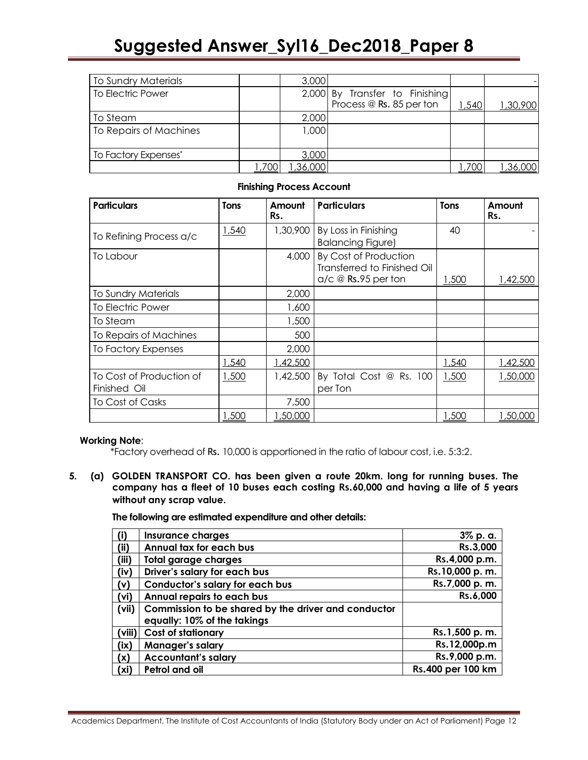| <b>To Sundry Materials</b> |        | 3,000   |                                |       |          |
|----------------------------|--------|---------|--------------------------------|-------|----------|
| To Electric Power          |        |         | 2,000 By Transfer to Finishing |       |          |
|                            |        |         | Process @ Rs. 85 per ton       | 1,540 | 1,30,900 |
| To Steam                   |        | 2,000   |                                |       |          |
| To Repairs of Machines     |        | 1,000   |                                |       |          |
|                            |        |         |                                |       |          |
| To Factory Expenses*       |        | 3,000   |                                |       |          |
|                            | 700, ا | ,36,000 |                                | ,700  | ,36,000  |

### **Finishing Process Account**

| <b>Particulars</b>                       | Tons  | Amount<br>Rs. | <b>Particulars</b>                                                                        | <b>Tons</b> | Amount<br>Rs. |
|------------------------------------------|-------|---------------|-------------------------------------------------------------------------------------------|-------------|---------------|
| To Refining Process a/c                  | 1,540 | 1,30,900      | By Loss in Finishing<br><b>Balancing Figure)</b>                                          | 40          |               |
| To Labour                                |       | 4,000         | By Cost of Production<br>Transferred to Finished Oil<br>$a/c \n\mathcal{Q}$ Rs.95 per ton | 1,500       | 1,42,500      |
| <b>To Sundry Materials</b>               |       | 2,000         |                                                                                           |             |               |
| To Electric Power                        |       | 1,600         |                                                                                           |             |               |
| To Steam                                 |       | 1,500         |                                                                                           |             |               |
| To Repairs of Machines                   |       | 500           |                                                                                           |             |               |
| To Factory Expenses                      |       | 2,000         |                                                                                           |             |               |
|                                          | 1,540 | 1,42,500      |                                                                                           | 1,540       | 1,42,500      |
| To Cost of Production of<br>Finished Oil | 1,500 | 1,42,500      | By Total Cost @ Rs. 100<br>per Ton                                                        | 1,500       | 1,50,000      |
| To Cost of Casks                         |       | 7,500         |                                                                                           |             |               |
|                                          | 1,500 | ,50,000       |                                                                                           | 1,500       | 1,50,000      |

### **Working Note**:

\*Factory overhead of Rs. 10,000 is apportioned in the ratio of labour cost, i.e. 5:3:2.

**5. (a) GOLDEN TRANSPORT CO. has been given a route 20km. long for running buses. The company has a fleet of 10 buses each costing Rs.60,000 and having a life of 5 years without any scrap value.** 

**The following are estimated expenditure and other details:** 

| (i)               | <b>Insurance charges</b>                            | 3% p. a.          |
|-------------------|-----------------------------------------------------|-------------------|
| (ii)              | Annual tax for each bus                             | Rs.3,000          |
| (iii)             | <b>Total garage charges</b>                         | Rs.4,000 p.m.     |
| (iv)              | Driver's salary for each bus                        | Rs.10,000 p.m.    |
| (v)               | <b>Conductor's salary for each bus</b>              | Rs.7,000 p.m.     |
| (vi)              | Annual repairs to each bus                          | Rs.6,000          |
| (vii)             | Commission to be shared by the driver and conductor |                   |
|                   | equally: 10% of the takings                         |                   |
| (viii)            | <b>Cost of stationary</b>                           | Rs.1,500 p.m.     |
| (ix)              | Manager's salary                                    | Rs.12,000p.m      |
| (x)               | <b>Accountant's salary</b>                          | Rs.9,000 p.m.     |
| (x <sub>i</sub> ) | Petrol and oil                                      | Rs.400 per 100 km |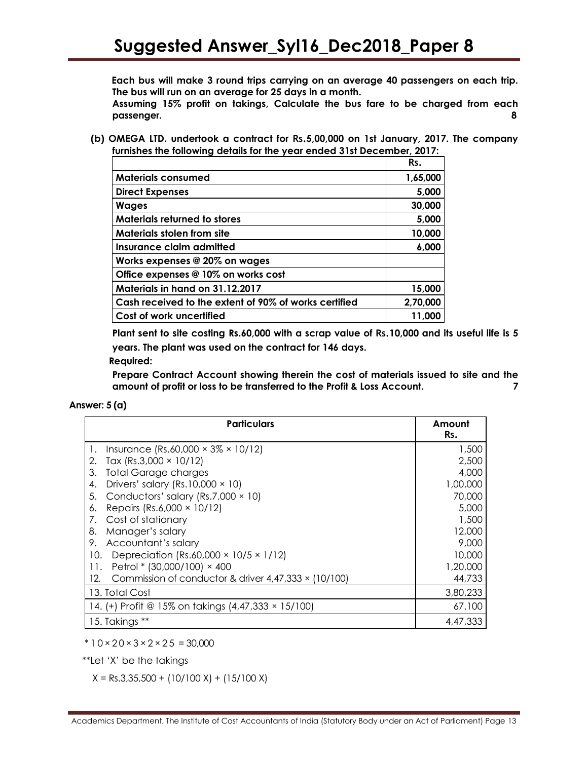**Each bus will make 3 round trips carrying on an average 40 passengers on each trip. The bus will run on an average for 25 days in a month.**

**Assuming 15% profit on takings, Calculate the bus fare to be charged from each passenger. 8**

**(b) OMEGA LTD. undertook a contract for Rs.5,00,000 on 1st January, 2017. The company furnishes the following details for the year ended 31st December, 2017:**

|                                                       | Rs.      |
|-------------------------------------------------------|----------|
| <b>Materials consumed</b>                             | 1,65,000 |
| <b>Direct Expenses</b>                                | 5,000    |
| <b>Wages</b>                                          | 30,000   |
| <b>Materials returned to stores</b>                   | 5,000    |
| <b>Materials stolen from site</b>                     | 10,000   |
| Insurance claim admitted                              | 6,000    |
| Works expenses @ 20% on wages                         |          |
| Office expenses @ 10% on works cost                   |          |
| Materials in hand on 31.12.2017                       | 15,000   |
| Cash received to the extent of 90% of works certified | 2,70,000 |
| Cost of work uncertified                              | 11,000   |

**Plant sent to site costing Rs.60,000 with a scrap value of Rs.10,000 and its useful life is 5 years. The plant was used on the contract for 146 days.**

 **Required:**

**Prepare Contract Account showing therein the cost of materials issued to site and the amount of profit or loss to be transferred to the Profit & Loss Account. 7**

**Answer: 5 (a)**

| <b>Particulars</b>                                                 | Amount<br>Rs. |
|--------------------------------------------------------------------|---------------|
| Insurance (Rs.60,000 $\times$ 3% $\times$ 10/12)<br>1.             | 1,500         |
| Tax (Rs.3,000 $\times$ 10/12)<br>2.                                | 2,500         |
| <b>Total Garage charges</b><br>3.                                  | 4,000         |
| Drivers' salary (Rs. 10,000 $\times$ 10)<br>4.                     | 1,00,000      |
| Conductors' salary (Rs.7,000 $\times$ 10)<br>5.                    | 70,000        |
| Repairs (Rs.6,000 $\times$ 10/12)<br>6.                            | 5,000         |
| Cost of stationary<br>7.                                           | 1,500         |
| Manager's salary<br>8.                                             | 12,000        |
| Accountant's salary<br>9.                                          | 9,000         |
| Depreciation (Rs.60,000 $\times$ 10/5 $\times$ 1/12)<br>10.        | 10,000        |
| Petrol * $(30,000/100) \times 400$<br>11.                          | 1,20,000      |
| Commission of conductor & driver $4,47,333 \times (10/100)$<br>12. | 44,733        |
| 13. Total Cost                                                     | 3,80,233      |
| 14. (+) Profit @ 15% on takings (4,47,333 × 15/100)                | 67.100        |
| 15. Takings **                                                     | 4.47.333      |

 $*10 \times 20 \times 3 \times 2 \times 25 = 30,000$ 

\*\*Let 'X' be the takings

 $X = \text{Rs.}3,35,500 + (10/100 \text{ X}) + (15/100 \text{ X})$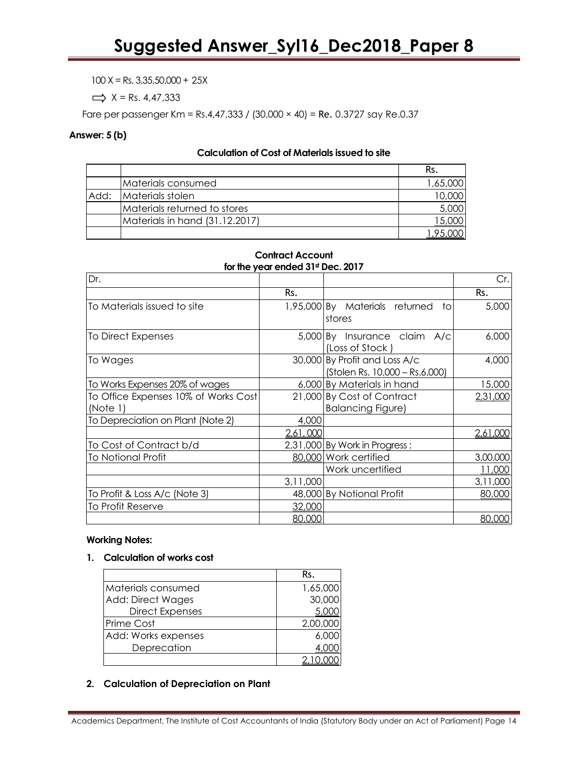$100 X = Rs. 3,35,50,000 + 25X$ 

 $\Rightarrow$  X = Rs. 4,47,333

Fare per passenger Km = Rs.4,47,333 / (30,000 × 40) = Re. 0.3727 say Re.0.37

### **Answer: 5 (b)**

### **Calculation of Cost of Materials issued to site**

|      |                                | Rs.      |
|------|--------------------------------|----------|
|      | Materials consumed             | 1,65,000 |
| Add: | Materials stolen               | 10,000   |
|      | Materials returned to stores   | 5,000    |
|      | Materials in hand (31.12.2017) | 15,000   |
|      |                                |          |

### **Contract Account for the year ended 31st Dec. 2017**

| Dr.                                  |          |                                                                 | Cr.I     |
|--------------------------------------|----------|-----------------------------------------------------------------|----------|
|                                      | Rs.      |                                                                 | Rs.      |
| To Materials issued to site          |          | 1,95,000 By Materials returned<br>tol<br>stores                 | 5,000    |
| To Direct Expenses                   |          | 5,000 By Insurance claim A/c<br>(Loss of Stock)                 | 6,000    |
| To Wages                             |          | 30,000 By Profit and Loss A/c<br>(Stolen Rs. 10,000 - Rs.6,000) | 4,000    |
| To Works Expenses 20% of wages       |          | 6,000 By Materials in hand                                      | 15,000   |
| To Office Expenses 10% of Works Cost |          | 21,000 By Cost of Contract                                      | 2,31,000 |
| (Note 1)                             |          | <b>Balancing Figure)</b>                                        |          |
| To Depreciation on Plant (Note 2)    | 4,000    |                                                                 |          |
|                                      | 2,61,000 |                                                                 | 2,61,000 |
| To Cost of Contract b/d              |          | 2,31,000 By Work in Progress:                                   |          |
| <b>To Notional Profit</b>            |          | 80,000 Work certified                                           | 3,00,000 |
|                                      |          | Work uncertified                                                | 11,000   |
|                                      | 3,11,000 |                                                                 | 3,11,000 |
| To Profit & Loss A/c (Note 3)        |          | 48,000 By Notional Profit                                       | 80,000   |
| To Profit Reserve                    | 32,000   |                                                                 |          |
|                                      | 80,000   |                                                                 | 80,000   |

# **Working Notes:**

### **1. Calculation of works cost**

|                          | Rs.      |
|--------------------------|----------|
| Materials consumed       | 1,65,000 |
| <b>Add: Direct Wages</b> | 30,000   |
| <b>Direct Expenses</b>   |          |
| Prime Cost               | 2,00,000 |
| Add: Works expenses      | 6,000    |
| Deprecation              |          |
|                          |          |

# **2. Calculation of Depreciation on Plant**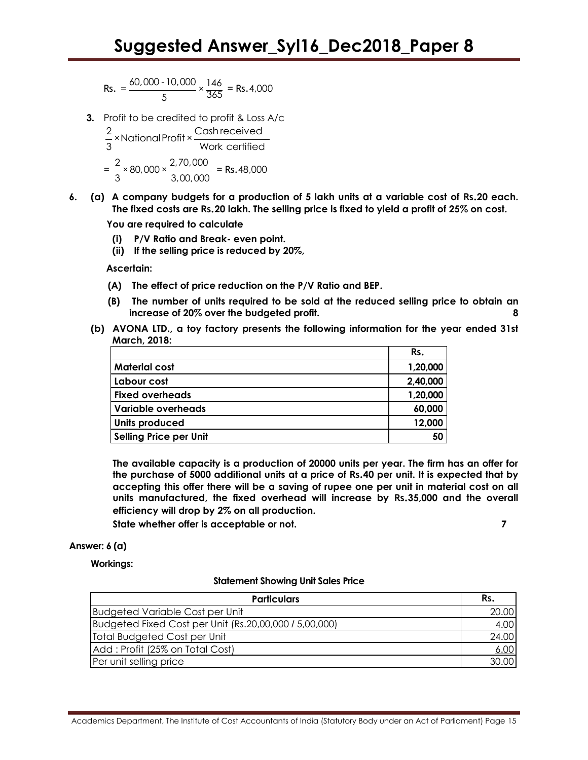$$
\text{Rs.} = \frac{60,000 - 10,000}{5} \times \frac{146}{365} = \text{Rs.4,000}
$$

**3.** Profit to be credited to profit & Loss A/c

Profit to be credited to profit & Loss<br>2<br>- ×National Profit × Cash received  $\frac{2}{3}$  × National Profit ×  $\frac{$  Casrifeceived<br>3  $= \frac{2}{2} \times 80,000 \times \frac{2,70,000}{2}$  $\frac{2}{3}$  × 80,000 ×  $\frac{2}{3,00,000}$  = Rs.48,000

**6. (a) A company budgets for a production of 5 lakh units at a variable cost of Rs.20 each. The fixed costs are Rs.20 lakh. The selling price is fixed to yield a profit of 25% on cost.**

 **You are required to calculate**

- **(i) P/V Ratio and Break- even point.**
- **(ii) If the selling price is reduced by 20%,**

 **Ascertain:**

- **(A) The effect of price reduction on the P/V Ratio and BEP.**
- **(B) The number of units required to be sold at the reduced selling price to obtain an increase of 20% over the budgeted profit. 8**
- **(b) AVONA LTD., a toy factory presents the following information for the year ended 31st March, 2018:**

|                           | Rs.      |
|---------------------------|----------|
| <b>Material cost</b>      | 1,20,000 |
| Labour cost               | 2,40,000 |
| <b>Fixed overheads</b>    | 1,20,000 |
| <b>Variable overheads</b> | 60,000   |
| <b>Units produced</b>     | 12,000   |
| Selling Price per Unit    | 50       |

**The available capacity is a production of 20000 units per year. The firm has an offer for the purchase of 5000 additional units at a price of Rs.40 per unit. It is expected that by accepting this offer there will be a saving of rupee one per unit in material cost on all units manufactured, the fixed overhead will increase by Rs.35,000 and the overall efficiency will drop by 2% on all production.**

**State whether offer is acceptable or not. 7**

### **Answer: 6 (a)**

**Workings:** 

#### **Statement Showing Unit Sales Price**

| <b>Particulars</b>                                     | Rs.   |
|--------------------------------------------------------|-------|
| <b>Budgeted Variable Cost per Unit</b>                 | 20.00 |
| Budgeted Fixed Cost per Unit (Rs.20,00,000 / 5,00,000) | 4.00  |
| Total Budgeted Cost per Unit                           | 24.00 |
| Add: Profit (25% on Total Cost)                        | 6.00  |
| Per unit selling price                                 | 30.00 |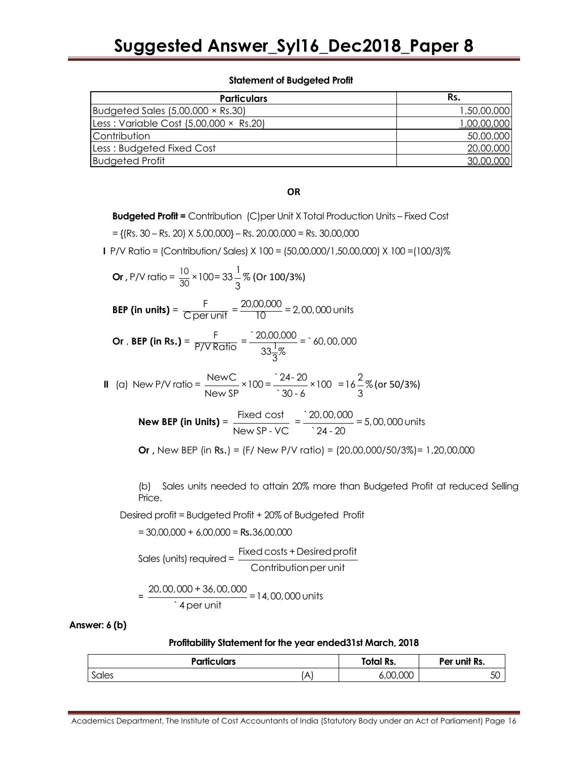### **Statement of Budgeted Profit**

| <b>Particulars</b>                              | Rs.         |
|-------------------------------------------------|-------------|
| Budgeted Sales $(5,00,000 \times \text{Rs}.30)$ | 1,50,00,000 |
| Less: Variable Cost $(5,00,000 \times$ Rs.20)   | 1,00,00,000 |
| <i>Contribution</i>                             | 50,00,000   |
| Less: Budgeted Fixed Cost                       | 20,00,000   |
| <b>Budgeted Profit</b>                          | 30,00,000   |

### **OR**

**Budgeted Profit =** Contribution (C)per Unit X Total Production Units – Fixed Cost

 $=$  {(Rs. 30 – Rs. 20) X 5,00,000} – Rs. 20,00,000 = Rs. 30,00,000

**I** P/V Ratio = (Contribution/ Sales) X 100 = (50,00,000/1,50,00,000) X 100 =(100/3)%

Or, P/V ratio = 
$$
\frac{10}{30} \times 100 = 33 \frac{1}{3} \%
$$
 (Or 100/3%)  
\nBEP (in units) =  $\frac{F}{C \text{ per unit}} = \frac{20,00,000}{10} = 2,00,000 \text{ units}$   
\nOr, BEP (in Rs.) =  $\frac{F}{P/V \text{ Ratio}} = \frac{20,00,000}{33 \frac{1}{3} \%$  =  $\times 60,00,000$   
\nII (a) New P/V ratio =  $\frac{\text{NewC}}{\text{New SP}} \times 100 = \frac{24 - 20}{30 - 6} \times 100 = 16 \frac{2}{3} \%$  (or 50/3%)  
\nNew BEP (in Units) =  $\frac{\text{Fixed cost}}{\text{New SP} \cdot \text{VC}} = \frac{20,00,000}{24 - 20} = 5,00,000 \text{ units}$ 

**Or ,** New BEP (in Rs.) = (F/ New P/V ratio) = (20,00,000/50/3%)= 1,20,00,000

(b) Sales units needed to attain 20% more than Budgeted Profit at reduced Selling Price.

Desired profit = Budgeted Profit + 20% of Budgeted Profit

 $= 30,00,000 + 6,00,000 =$ Rs.36,00,000

Sales (units) required = 
$$
\frac{Fixed\,cost + Disired\,profit}{Continution\,per\,unit}
$$

$$
= \frac{20,00,000 + 36,00,000}{4 \text{ per unit}} = 14,00,000 \text{ units}
$$

**Answer: 6 (b)**

#### **Profitability Statement for the year ended31st March, 2018**

| <b>Particulars</b>                | Total Rs. | Per unit Rs. |
|-----------------------------------|-----------|--------------|
| Sales<br>Δ<br>$\overline{\wedge}$ | 6,00,000  | 5С           |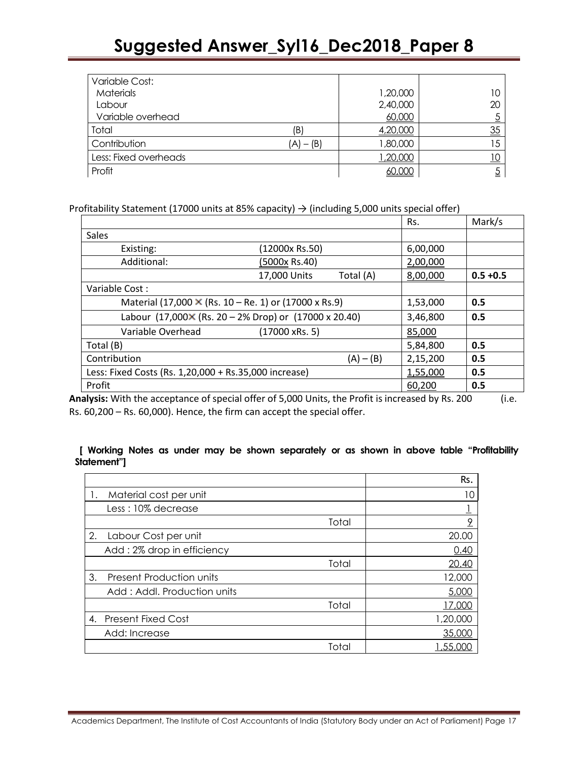| Variable Cost:        |             |          |    |
|-----------------------|-------------|----------|----|
| <b>Materials</b>      |             | 1,20,000 | 10 |
| Labour                |             | 2,40,000 | 20 |
| Variable overhead     |             | 60,000   |    |
| Total                 | (B)         | 4,20,000 | 35 |
| Contribution          | $(A) - (B)$ | 1,80,000 | 15 |
| Less: Fixed overheads |             | 1,20,000 |    |
| Profit                |             | 60,000   |    |

Profitability Statement (17000 units at 85% capacity)  $\rightarrow$  (including 5,000 units special offer)

|                                                              |                                                               |                |           | Rs.      | Mark/s      |
|--------------------------------------------------------------|---------------------------------------------------------------|----------------|-----------|----------|-------------|
| Sales                                                        |                                                               |                |           |          |             |
| Existing:                                                    |                                                               | (12000x Rs.50) |           | 6,00,000 |             |
| Additional:                                                  |                                                               | (5000x Rs.40)  |           | 2,00,000 |             |
|                                                              | 17,000 Units                                                  |                | Total (A) | 8,00,000 | $0.5 + 0.5$ |
| Variable Cost:                                               |                                                               |                |           |          |             |
| Material (17,000 $\times$ (Rs. 10 – Re. 1) or (17000 x Rs.9) |                                                               |                |           | 1,53,000 | 0.5         |
|                                                              | Labour (17,000 $\times$ (Rs. 20 – 2% Drop) or (17000 x 20.40) |                |           | 3,46,800 | 0.5         |
| Variable Overhead                                            |                                                               | (17000 xRs. 5) |           | 85,000   |             |
| Total (B)                                                    |                                                               |                |           | 5,84,800 | 0.5         |
| Contribution<br>$(A) - (B)$                                  |                                                               |                | 2,15,200  | 0.5      |             |
| Less: Fixed Costs (Rs. 1,20,000 + Rs.35,000 increase)        |                                                               |                |           | 1,55,000 | 0.5         |
| Profit                                                       |                                                               |                |           | 60,200   | 0.5         |

**Analysis:** With the acceptance of special offer of 5,000 Units, the Profit is increased by Rs. 200 (i.e. Rs. 60,200 – Rs. 60,000). Hence, the firm can accept the special offer.

# **[ Working Notes as under may be shown separately or as shown in above table "Profitability Statement"]**

|    |                                 |       | Rs.          |
|----|---------------------------------|-------|--------------|
|    | Material cost per unit          |       | 10           |
|    | Less: 10% decrease              |       |              |
|    |                                 | Total | 9            |
| 2. | Labour Cost per unit            |       | 20.00        |
|    | Add: 2% drop in efficiency      |       | 0.40         |
|    |                                 | Total | <u>20.40</u> |
| 3. | <b>Present Production units</b> |       | 12,000       |
|    | Add: Addl. Production units     |       | 5,000        |
|    |                                 | Total | നന           |
| 4. | <b>Present Fixed Cost</b>       |       | 1,20,000     |
|    | Add: Increase                   |       | 35,000       |
|    |                                 | Total | .55.000      |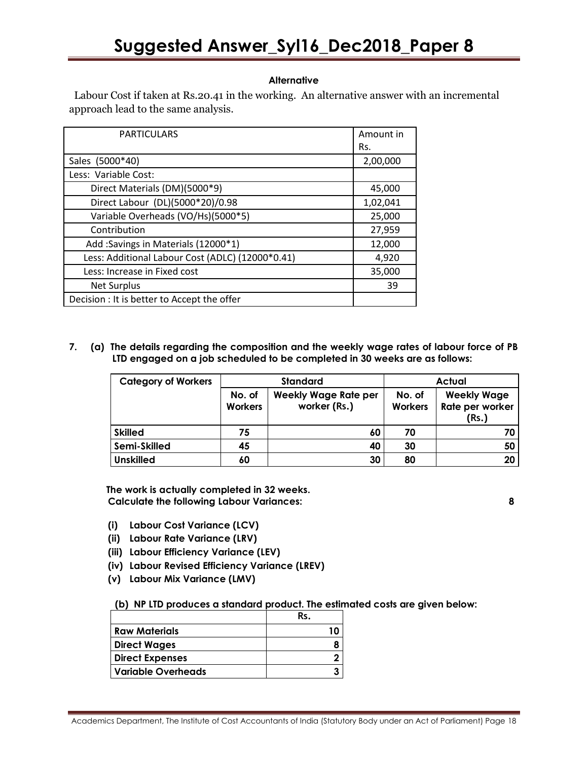# **Alternative**

Labour Cost if taken at Rs.20.41 in the working. An alternative answer with an incremental approach lead to the same analysis.

| <b>PARTICULARS</b>                               | Amount in |
|--------------------------------------------------|-----------|
|                                                  | Rs.       |
| Sales (5000*40)                                  | 2,00,000  |
| Less: Variable Cost:                             |           |
| Direct Materials (DM)(5000*9)                    | 45,000    |
| Direct Labour (DL)(5000*20)/0.98                 | 1,02,041  |
| Variable Overheads (VO/Hs)(5000*5)               | 25,000    |
| Contribution                                     | 27,959    |
| Add: Savings in Materials (12000*1)              | 12,000    |
| Less: Additional Labour Cost (ADLC) (12000*0.41) | 4,920     |
| Less: Increase in Fixed cost                     | 35,000    |
| <b>Net Surplus</b>                               | 39        |
| Decision : It is better to Accept the offer      |           |

### **7. (a) The details regarding the composition and the weekly wage rates of labour force of PB LTD engaged on a job scheduled to be completed in 30 weeks are as follows:**

| <b>Category of Workers</b> |                          | <b>Standard</b>                             | <b>Actual</b>            |                                                |  |
|----------------------------|--------------------------|---------------------------------------------|--------------------------|------------------------------------------------|--|
|                            | No. of<br><b>Workers</b> | <b>Weekly Wage Rate per</b><br>worker (Rs.) | No. of<br><b>Workers</b> | <b>Weekly Wage</b><br>Rate per worker<br>(Rs.) |  |
| <b>Skilled</b>             | 75                       | 60                                          | 70                       | 70                                             |  |
| Semi-Skilled               | 45                       | 40                                          | 30                       | 50                                             |  |
| <b>Unskilled</b>           | 60                       | 30                                          | 80                       | 20                                             |  |

**The work is actually completed in 32 weeks. Calculate the following Labour Variances: 8**

- **(i) Labour Cost Variance (LCV)**
- **(ii) Labour Rate Variance (LRV)**
- **(iii) Labour Efficiency Variance (LEV)**
- **(iv) Labour Revised Efficiency Variance (LREV)**
- **(v) Labour Mix Variance (LMV)**

**(b) NP LTD produces a standard product. The estimated costs are given below:** 

|                        | Rs. |
|------------------------|-----|
| l Raw Materials        |     |
| Direct Wages           |     |
| <b>Direct Expenses</b> |     |
| l Variable Overheads   |     |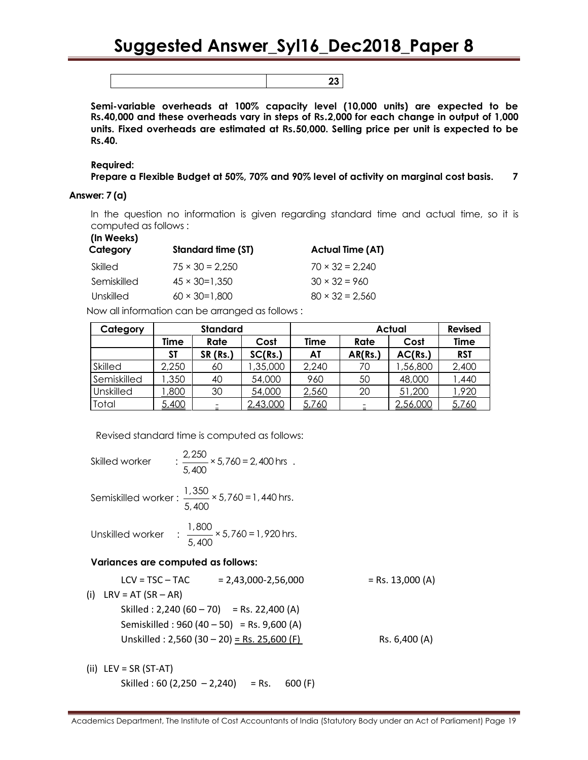**23**

**Semi-variable overheads at 100% capacity level (10,000 units) are expected to be Rs.40,000 and these overheads vary in steps of Rs.2,000 for each change in output of 1,000 units. Fixed overheads are estimated at Rs.50,000. Selling price per unit is expected to be Rs.40.**

**Required:**

```
Prepare a Flexible Budget at 50%, 70% and 90% level of activity on marginal cost basis. 7
```
# **Answer: 7 (a)**

In the question no information is given regarding standard time and actual time, so it is computed as follows :

| (In Weeks)<br>Category | Standard time (ST)     | <b>Actual Time (AT)</b> |
|------------------------|------------------------|-------------------------|
| Skilled                | $75 \times 30 = 2.250$ | $70 \times 32 = 2.240$  |
| Semiskilled            | $45 \times 30 = 1.350$ | $30 \times 32 = 960$    |
| Unskilled              | $60 \times 30 = 1.800$ | $80 \times 32 = 2.560$  |
|                        |                        |                         |

Now all information can be arranged as follows :

| Category    | <b>Standard</b> |          |          | <b>Actual</b> |         |          | <b>Revised</b> |
|-------------|-----------------|----------|----------|---------------|---------|----------|----------------|
|             | Time            | Rate     | Cost     | <b>Time</b>   | Rate    | Cost     | Time           |
|             | SΤ              | SR (Rs.) | SC(Rs.)  | AT            | AR(Rs.) | AC(Rs.)  | <b>RST</b>     |
| Skilled     | 2,250           | 60       | ,35,000  | 2,240         | 70      | 56,800   | 2,400          |
| Semiskilled | ,350            | 40       | 54,000   | 960           | 50      | 48,000   | ,440           |
| Unskilled   | ,800            | 30       | 54,000   | 2,560         | 20      | 51,200   | .920           |
| Total       | 5,400           |          | 2,43,000 | 5,760         |         | 2,56,000 | 5,760          |

Revised standard time is computed as follows:

Skilled worker  $\qquad : \frac{2,250}{1} \times 5,760 = 2,400$  hrs 5,400 . Semiskilled worker :  $\frac{1,350}{5,400} \times 5,760 = 1,440$  hrs. Unskilled worker :  $\frac{1,800}{5,400} \times 5,760 = 1,920$  hrs. **Variances are computed as follows:**  $LCV = TSC - TAC = 2,43,000 - 2,56,000$  = Rs. 13,000 (A) (i)  $LRV = AT (SR - AR)$ Skilled : 2,240 (60 – 70) = Rs. 22,400 (A) Semiskilled : 960 (40 – 50) = Rs. 9,600 (A) Unskilled : 2,560 (30 – 20) = Rs. 25,600 (F) Rs. 6,400 (A)

 $(ii)$  LEV = SR (ST-AT) Skilled : 60 (2,250 – 2,240) = Rs. 600 (F)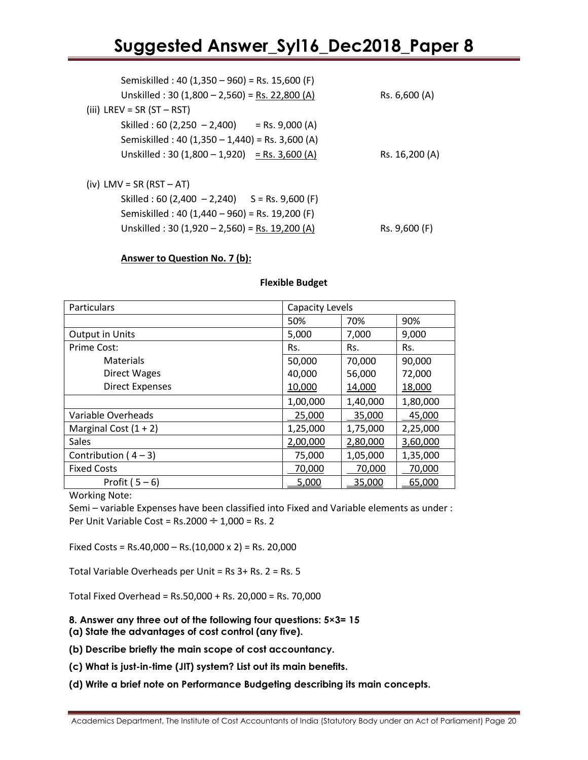| Semiskilled: 40 (1,350 – 960) = Rs. 15,600 (F)   |                |
|--------------------------------------------------|----------------|
| Unskilled: 30 (1,800 - 2,560) = Rs. 22,800 (A)   | Rs. 6,600 (A)  |
| (iii) LREV = $SR (ST - RST)$                     |                |
| Skilled : 60 (2,250 - 2,400) = Rs. 9,000 (A)     |                |
| Semiskilled: 40 (1,350 - 1,440) = Rs. 3,600 (A)  |                |
| Unskilled: $30(1,800 - 1,920) =$ Rs. 3,600 (A)   | Rs. 16,200 (A) |
|                                                  |                |
| $(iv)$ LMV = SR (RST – AT)                       |                |
| Skilled : 60 (2,400 - 2,240) $S = Rs. 9,600 (F)$ |                |
| Semiskilled: 40 (1,440 – 960) = Rs. 19,200 (F)   |                |

Unskilled : 30 (1,920 – 2,560) = Rs. 19,200 (A) Rs. 9,600 (F)

### **Answer to Question No. 7 (b):**

### **Flexible Budget**

| Particulars<br><b>Capacity Levels</b> |          |          |          |
|---------------------------------------|----------|----------|----------|
|                                       | 50%      | 70%      | 90%      |
| <b>Output in Units</b>                | 5,000    | 7,000    | 9,000    |
| Prime Cost:                           | Rs.      | Rs.      | Rs.      |
| Materials                             | 50,000   | 70,000   | 90,000   |
| Direct Wages                          | 40,000   | 56,000   | 72,000   |
| <b>Direct Expenses</b>                | 10,000   | 14,000   | 18,000   |
|                                       | 1,00,000 | 1,40,000 | 1,80,000 |
| Variable Overheads                    | 25,000   | 35,000   | 45,000   |
| Marginal Cost $(1 + 2)$               | 1,25,000 | 1,75,000 | 2,25,000 |
| Sales                                 | 2,00,000 | 2,80,000 | 3,60,000 |
| Contribution ( $4-3$ )                | 75,000   | 1,05,000 | 1,35,000 |
| <b>Fixed Costs</b>                    | 70,000   | 70,000   | 70,000   |
| Profit $(5-6)$                        | 5,000    | 35,000   | 65,000   |

Working Note:

Semi – variable Expenses have been classified into Fixed and Variable elements as under : Per Unit Variable Cost = Rs. 2000  $\div$  1,000 = Rs. 2

Fixed Costs =  $Rs.40,000 - Rs.(10,000 x 2) = Rs. 20,000$ 

Total Variable Overheads per Unit = Rs 3+ Rs. 2 = Rs. 5

Total Fixed Overhead = Rs.50,000 + Rs. 20,000 = Rs. 70,000

### **8. Answer any three out of the following four questions: 5×3= 15 (a) State the advantages of cost control (any five).**

- **(b) Describe briefly the main scope of cost accountancy.**
- **(c) What is just-in-time (JIT) system? List out its main benefits.**
- **(d) Write a brief note on Performance Budgeting describing its main concepts.**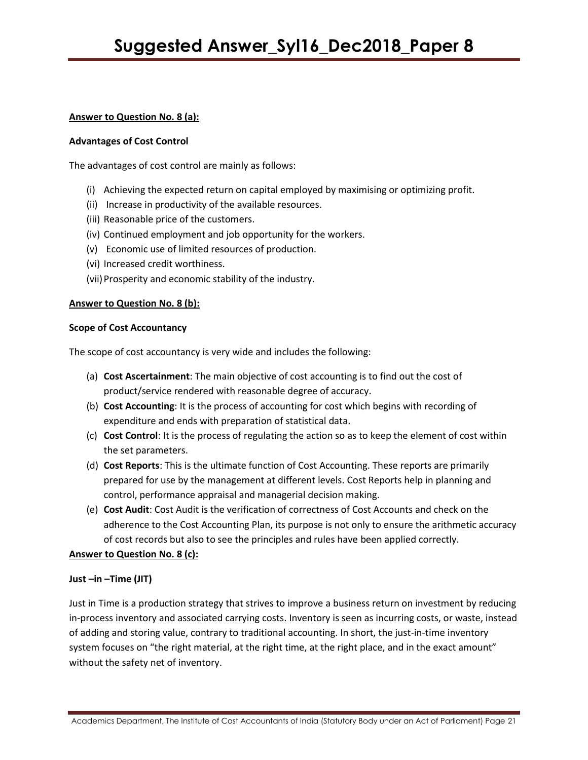# **Answer to Question No. 8 (a):**

### **Advantages of Cost Control**

The advantages of cost control are mainly as follows:

- (i) Achieving the expected return on capital employed by maximising or optimizing profit.
- (ii) Increase in productivity of the available resources.
- (iii) Reasonable price of the customers.
- (iv) Continued employment and job opportunity for the workers.
- (v) Economic use of limited resources of production.
- (vi) Increased credit worthiness.
- (vii)Prosperity and economic stability of the industry.

# **Answer to Question No. 8 (b):**

# **Scope of Cost Accountancy**

The scope of cost accountancy is very wide and includes the following:

- (a) **Cost Ascertainment**: The main objective of cost accounting is to find out the cost of product/service rendered with reasonable degree of accuracy.
- (b) **Cost Accounting**: It is the process of accounting for cost which begins with recording of expenditure and ends with preparation of statistical data.
- (c) **Cost Control**: It is the process of regulating the action so as to keep the element of cost within the set parameters.
- (d) **Cost Reports**: This is the ultimate function of Cost Accounting. These reports are primarily prepared for use by the management at different levels. Cost Reports help in planning and control, performance appraisal and managerial decision making.
- (e) **Cost Audit**: Cost Audit is the verification of correctness of Cost Accounts and check on the adherence to the Cost Accounting Plan, its purpose is not only to ensure the arithmetic accuracy of cost records but also to see the principles and rules have been applied correctly.

# **Answer to Question No. 8 (c):**

# **Just –in –Time (JIT)**

Just in Time is a production strategy that strives to improve a business return on investment by reducing in-process inventory and associated carrying costs. Inventory is seen as incurring costs, or waste, instead of adding and storing value, contrary to traditional accounting. In short, the just-in-time inventory system focuses on "the right material, at the right time, at the right place, and in the exact amount" without the safety net of inventory.